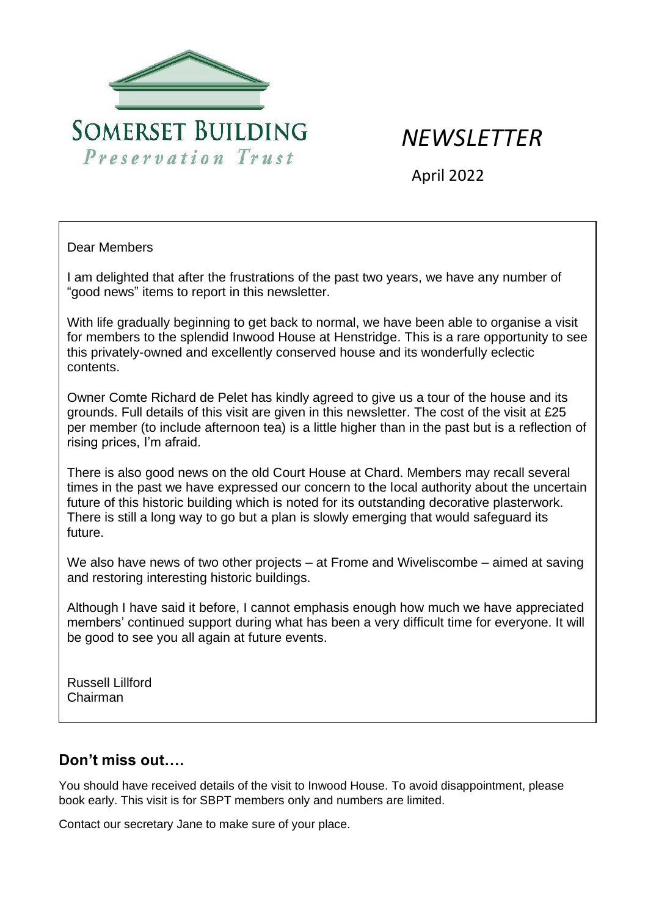

# *NEWSLETTER*

April 2022

#### Dear Members

I am delighted that after the frustrations of the past two years, we have any number of "good news" items to report in this newsletter.

With life gradually beginning to get back to normal, we have been able to organise a visit for members to the splendid Inwood House at Henstridge. This is a rare opportunity to see this privately-owned and excellently conserved house and its wonderfully eclectic contents.

Owner Comte Richard de Pelet has kindly agreed to give us a tour of the house and its grounds. Full details of this visit are given in this newsletter. The cost of the visit at £25 per member (to include afternoon tea) is a little higher than in the past but is a reflection of rising prices, I'm afraid.

There is also good news on the old Court House at Chard. Members may recall several times in the past we have expressed our concern to the local authority about the uncertain future of this historic building which is noted for its outstanding decorative plasterwork. There is still a long way to go but a plan is slowly emerging that would safeguard its future.

We also have news of two other projects – at Frome and Wiveliscombe – aimed at saving and restoring interesting historic buildings.

Although I have said it before, I cannot emphasis enough how much we have appreciated members' continued support during what has been a very difficult time for everyone. It will be good to see you all again at future events.

Russell Lillford Chairman

# **Don't miss out….**

You should have received details of the visit to Inwood House. To avoid disappointment, please book early. This visit is for SBPT members only and numbers are limited.

Contact our secretary Jane to make sure of your place.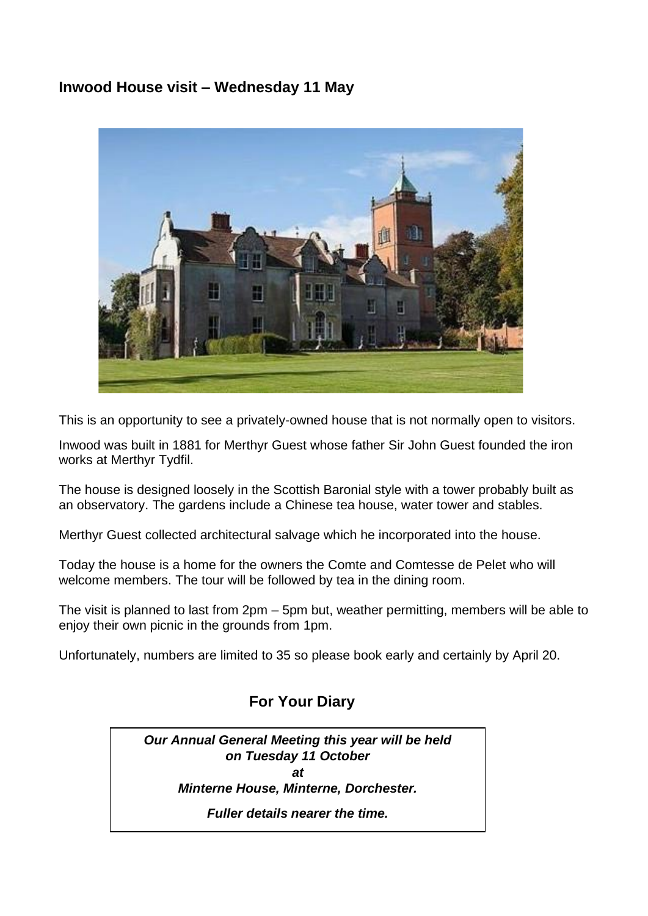# **Inwood House visit – Wednesday 11 May**



This is an opportunity to see a privately-owned house that is not normally open to visitors.

Inwood was built in 1881 for Merthyr Guest whose father Sir John Guest founded the iron works at Merthyr Tydfil.

The house is designed loosely in the Scottish Baronial style with a tower probably built as an observatory. The gardens include a Chinese tea house, water tower and stables.

Merthyr Guest collected architectural salvage which he incorporated into the house.

Today the house is a home for the owners the Comte and Comtesse de Pelet who will welcome members. The tour will be followed by tea in the dining room.

The visit is planned to last from 2pm – 5pm but, weather permitting, members will be able to enjoy their own picnic in the grounds from 1pm.

Unfortunately, numbers are limited to 35 so please book early and certainly by April 20.

# **For Your Diary**

*Our Annual General Meeting this year will be held on Tuesday 11 October at Minterne House, Minterne, Dorchester. Fuller details nearer the time.*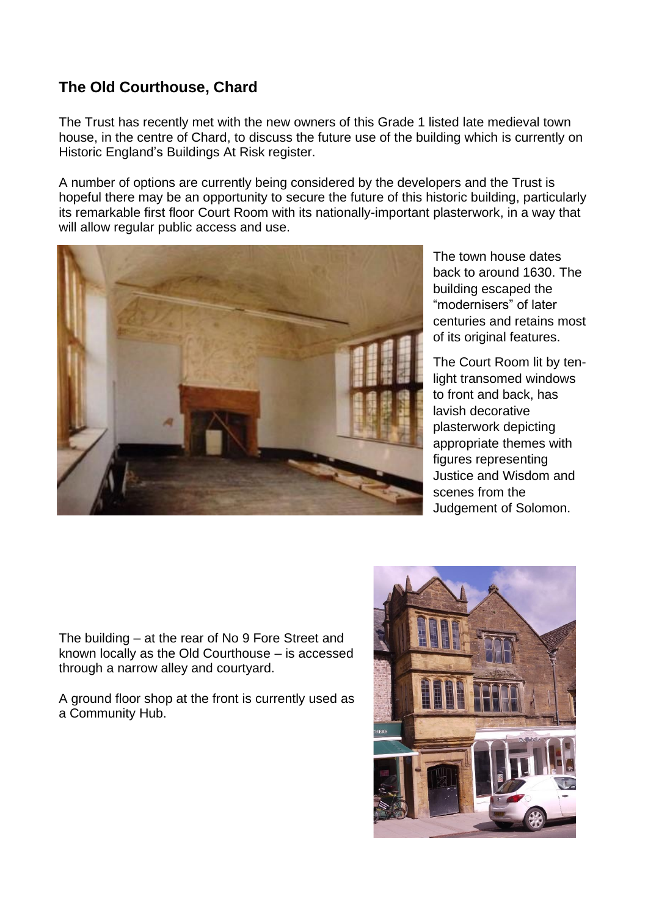# **The Old Courthouse, Chard**

The Trust has recently met with the new owners of this Grade 1 listed late medieval town house, in the centre of Chard, to discuss the future use of the building which is currently on Historic England's Buildings At Risk register.

A number of options are currently being considered by the developers and the Trust is hopeful there may be an opportunity to secure the future of this historic building, particularly its remarkable first floor Court Room with its nationally-important plasterwork, in a way that will allow regular public access and use.



The town house dates back to around 1630. The building escaped the "modernisers" of later centuries and retains most of its original features.

The Court Room lit by tenlight transomed windows to front and back, has lavish decorative plasterwork depicting appropriate themes with figures representing Justice and Wisdom and scenes from the Judgement of Solomon.

The building – at the rear of No 9 Fore Street and known locally as the Old Courthouse – is accessed through a narrow alley and courtyard.

A ground floor shop at the front is currently used as a Community Hub.

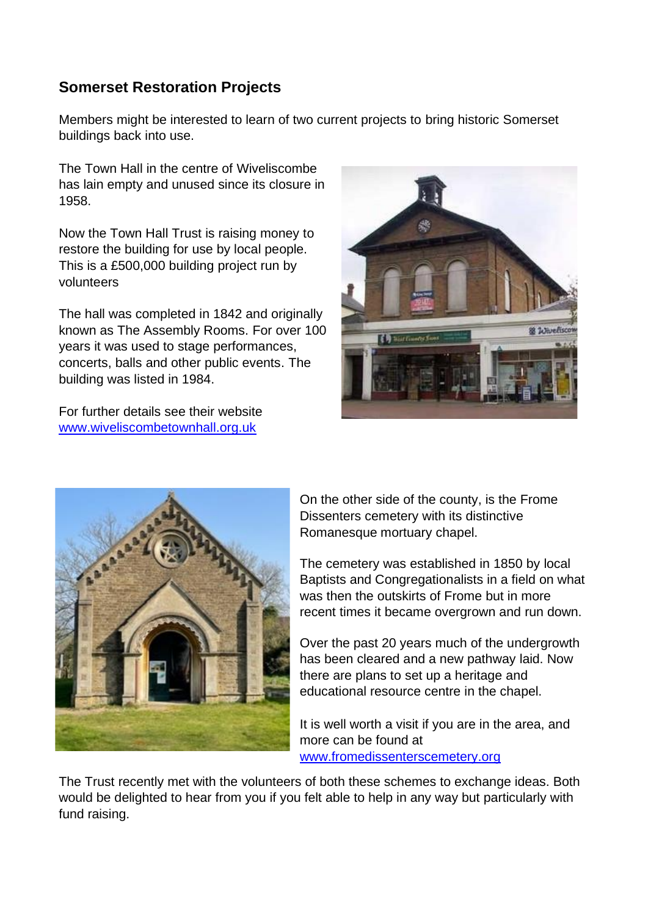# **Somerset Restoration Projects**

Members might be interested to learn of two current projects to bring historic Somerset buildings back into use.

The Town Hall in the centre of Wiveliscombe has lain empty and unused since its closure in 1958.

Now the Town Hall Trust is raising money to restore the building for use by local people. This is a £500,000 building project run by volunteers

The hall was completed in 1842 and originally known as The Assembly Rooms. For over 100 years it was used to stage performances, concerts, balls and other public events. The building was listed in 1984.

For further details see their website [www.wiveliscombetownhall.org.uk](http://www.wiveliscombetownhall.org.uk/)





On the other side of the county, is the Frome Dissenters cemetery with its distinctive Romanesque mortuary chapel.

The cemetery was established in 1850 by local Baptists and Congregationalists in a field on what was then the outskirts of Frome but in more recent times it became overgrown and run down.

Over the past 20 years much of the undergrowth has been cleared and a new pathway laid. Now there are plans to set up a heritage and educational resource centre in the chapel.

It is well worth a visit if you are in the area, and more can be found at [www.fromedissenterscemetery.org](http://www.fromedissenterscemetery.org/)

The Trust recently met with the volunteers of both these schemes to exchange ideas. Both would be delighted to hear from you if you felt able to help in any way but particularly with fund raising.